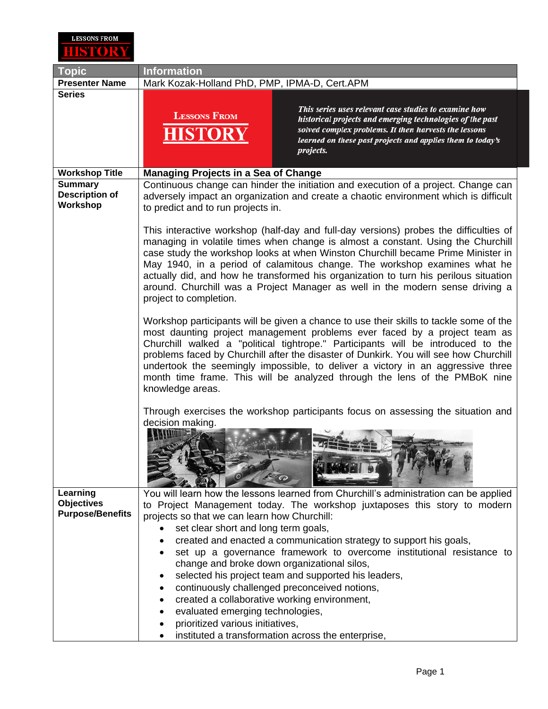

| <b>Topic</b>                                        | <b>Information</b>                                                                                                                                                                                                                                                                                                                                                                                                                                                                                                                            |
|-----------------------------------------------------|-----------------------------------------------------------------------------------------------------------------------------------------------------------------------------------------------------------------------------------------------------------------------------------------------------------------------------------------------------------------------------------------------------------------------------------------------------------------------------------------------------------------------------------------------|
| <b>Presenter Name</b>                               | Mark Kozak-Holland PhD, PMP, IPMA-D, Cert.APM                                                                                                                                                                                                                                                                                                                                                                                                                                                                                                 |
| <b>Series</b>                                       | This series uses relevant case studies to examine how<br><b>LESSONS FROM</b><br>historical projects and emerging technologies of the past<br>solved complex problems. It then harvests the lessons<br>HISTOR<br>learned on these past projects and applies them to today's<br>projects.                                                                                                                                                                                                                                                       |
| <b>Workshop Title</b>                               | <b>Managing Projects in a Sea of Change</b>                                                                                                                                                                                                                                                                                                                                                                                                                                                                                                   |
| <b>Summary</b><br><b>Description of</b><br>Workshop | Continuous change can hinder the initiation and execution of a project. Change can<br>adversely impact an organization and create a chaotic environment which is difficult<br>to predict and to run projects in.                                                                                                                                                                                                                                                                                                                              |
|                                                     | This interactive workshop (half-day and full-day versions) probes the difficulties of<br>managing in volatile times when change is almost a constant. Using the Churchill<br>case study the workshop looks at when Winston Churchill became Prime Minister in<br>May 1940, in a period of calamitous change. The workshop examines what he<br>actually did, and how he transformed his organization to turn his perilous situation<br>around. Churchill was a Project Manager as well in the modern sense driving a<br>project to completion. |
|                                                     | Workshop participants will be given a chance to use their skills to tackle some of the<br>most daunting project management problems ever faced by a project team as<br>Churchill walked a "political tightrope." Participants will be introduced to the<br>problems faced by Churchill after the disaster of Dunkirk. You will see how Churchill<br>undertook the seemingly impossible, to deliver a victory in an aggressive three<br>month time frame. This will be analyzed through the lens of the PMBoK nine<br>knowledge areas.         |
|                                                     | Through exercises the workshop participants focus on assessing the situation and<br>decision making.                                                                                                                                                                                                                                                                                                                                                                                                                                          |
| Learning                                            | You will learn how the lessons learned from Churchill's administration can be applied                                                                                                                                                                                                                                                                                                                                                                                                                                                         |
| <b>Objectives</b>                                   | to Project Management today. The workshop juxtaposes this story to modern                                                                                                                                                                                                                                                                                                                                                                                                                                                                     |
| <b>Purpose/Benefits</b>                             | projects so that we can learn how Churchill:                                                                                                                                                                                                                                                                                                                                                                                                                                                                                                  |
|                                                     | set clear short and long term goals,                                                                                                                                                                                                                                                                                                                                                                                                                                                                                                          |
|                                                     | created and enacted a communication strategy to support his goals,<br>set up a governance framework to overcome institutional resistance to                                                                                                                                                                                                                                                                                                                                                                                                   |
|                                                     | change and broke down organizational silos,                                                                                                                                                                                                                                                                                                                                                                                                                                                                                                   |
|                                                     | selected his project team and supported his leaders,                                                                                                                                                                                                                                                                                                                                                                                                                                                                                          |
|                                                     | continuously challenged preconceived notions,<br>٠                                                                                                                                                                                                                                                                                                                                                                                                                                                                                            |
|                                                     | created a collaborative working environment,                                                                                                                                                                                                                                                                                                                                                                                                                                                                                                  |
|                                                     | evaluated emerging technologies,                                                                                                                                                                                                                                                                                                                                                                                                                                                                                                              |
|                                                     |                                                                                                                                                                                                                                                                                                                                                                                                                                                                                                                                               |
|                                                     | prioritized various initiatives,<br>instituted a transformation across the enterprise,                                                                                                                                                                                                                                                                                                                                                                                                                                                        |